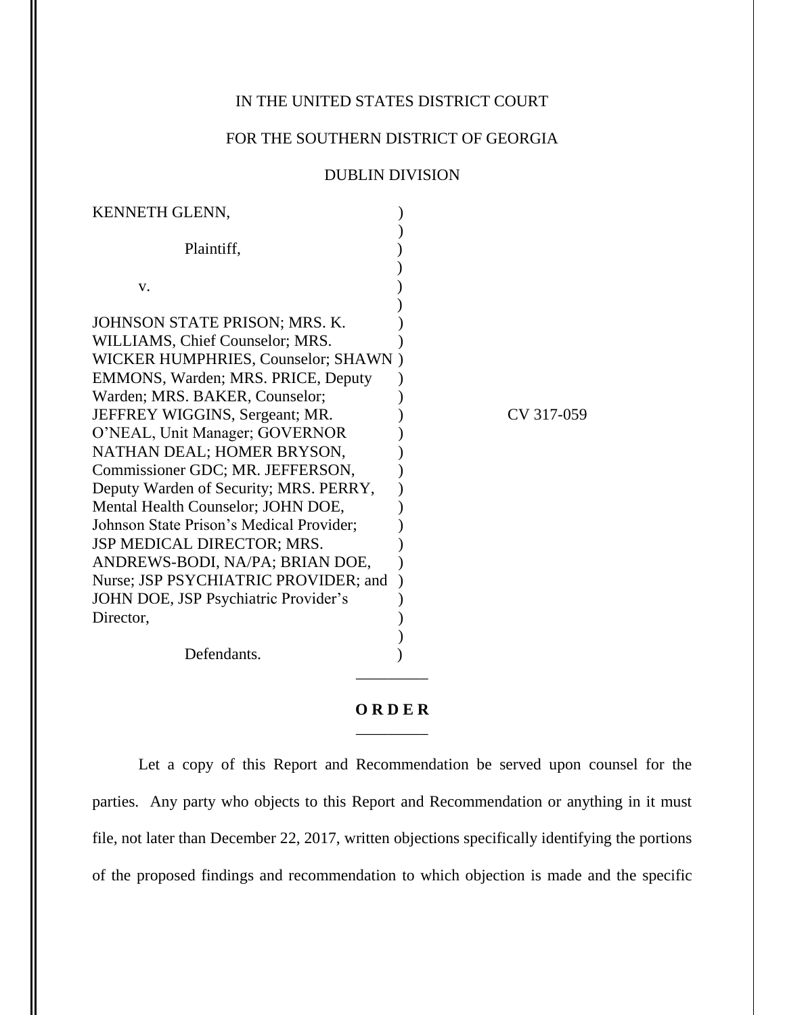## IN THE UNITED STATES DISTRICT COURT

## FOR THE SOUTHERN DISTRICT OF GEORGIA

## DUBLIN DIVISION

| KENNETH GLENN,                                                               |            |
|------------------------------------------------------------------------------|------------|
| Plaintiff,                                                                   |            |
| V.                                                                           |            |
| JOHNSON STATE PRISON; MRS. K.<br>WILLIAMS, Chief Counselor; MRS.             |            |
| WICKER HUMPHRIES, Counselor; SHAWN)                                          |            |
| EMMONS, Warden; MRS. PRICE, Deputy<br>Warden; MRS. BAKER, Counselor;         |            |
| JEFFREY WIGGINS, Sergeant; MR.<br>O'NEAL, Unit Manager; GOVERNOR             | CV 317-059 |
| NATHAN DEAL; HOMER BRYSON,<br>Commissioner GDC; MR. JEFFERSON,               |            |
| Deputy Warden of Security; MRS. PERRY,<br>Mental Health Counselor; JOHN DOE, |            |
| Johnson State Prison's Medical Provider;<br>JSP MEDICAL DIRECTOR; MRS.       |            |
| ANDREWS-BODI, NA/PA; BRIAN DOE,<br>Nurse; JSP PSYCHIATRIC PROVIDER; and      |            |
| JOHN DOE, JSP Psychiatric Provider's<br>Director,                            |            |
| Defendants.                                                                  |            |

## **O R D E R** \_\_\_\_\_\_\_\_\_

Let a copy of this Report and Recommendation be served upon counsel for the parties. Any party who objects to this Report and Recommendation or anything in it must file, not later than December 22, 2017, written objections specifically identifying the portions of the proposed findings and recommendation to which objection is made and the specific